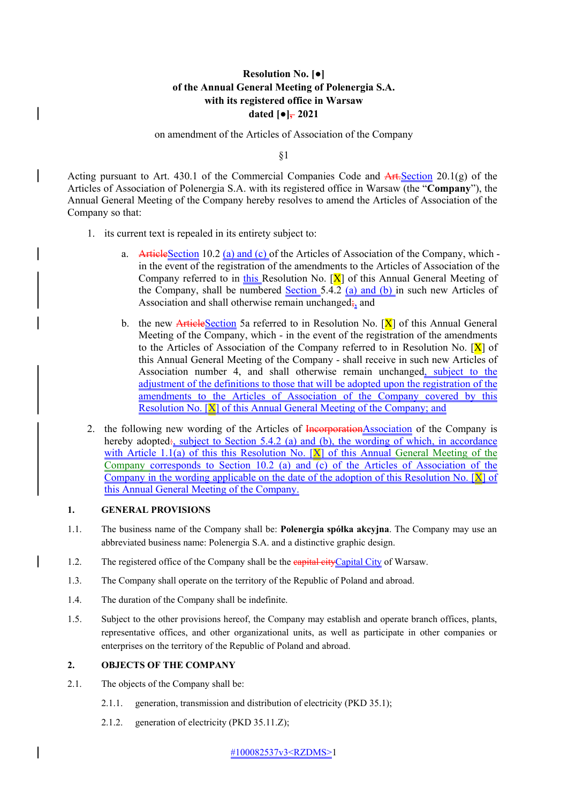# **Resolution No. [●] of the Annual General Meeting of Polenergia S.A. with its registered office in Warsaw** dated  $\lceil \bullet \rceil$ , 2021

on amendment of the Articles of Association of the Company

§1

Acting pursuant to Art. 430.1 of the Commercial Companies Code and  $\overline{Art\cdot}$  Section 20.1(g) of the Articles of Association of Polenergia S.A. with its registered office in Warsaw (the "**Company**"), the Annual General Meeting of the Company hereby resolves to amend the Articles of Association of the Company so that:

- 1. its current text is repealed in its entirety subject to:
	- a. ArticleSection 10.2 (a) and (c) of the Articles of Association of the Company, which in the event of the registration of the amendments to the Articles of Association of the Company referred to in this Resolution No.  $[X]$  of this Annual General Meeting of the Company, shall be numbered **Section 5.4.2** (a) and (b) in such new Articles of Association and shall otherwise remain unchanged; and
	- b. the new ArticleSection 5a referred to in Resolution No.  $[X]$  of this Annual General Meeting of the Company, which - in the event of the registration of the amendments to the Articles of Association of the Company referred to in Resolution No.  $[X]$  of this Annual General Meeting of the Company - shall receive in such new Articles of Association number 4, and shall otherwise remain unchanged, subject to the adjustment of the definitions to those that will be adopted upon the registration of the amendments to the Articles of Association of the Company covered by this Resolution No. [X] of this Annual General Meeting of the Company; and
- 2. the following new wording of the Articles of IncorporationAssociation of the Company is hereby adopted:, subject to Section 5.4.2 (a) and (b), the wording of which, in accordance with Article 1.1(a) of this this Resolution No.  $[X]$  of this Annual General Meeting of the Company corresponds to Section 10.2 (a) and  $\overline{(c)}$  of the Articles of Association of the Company in the wording applicable on the date of the adoption of this Resolution No.  $[X]$  of this Annual General Meeting of the Company.

### **1. GENERAL PROVISIONS**

 $\mathsf{l}$ 

- 1.1. The business name of the Company shall be: **Polenergia spółka akcyjna**. The Company may use an abbreviated business name: Polenergia S.A. and a distinctive graphic design.
- 1.2. The registered office of the Company shall be the eapital cityCapital City of Warsaw.
	- 1.3. The Company shall operate on the territory of the Republic of Poland and abroad.
	- 1.4. The duration of the Company shall be indefinite.
	- 1.5. Subject to the other provisions hereof, the Company may establish and operate branch offices, plants, representative offices, and other organizational units, as well as participate in other companies or enterprises on the territory of the Republic of Poland and abroad.

## **2. OBJECTS OF THE COMPANY**

- 2.1. The objects of the Company shall be:
	- 2.1.1. generation, transmission and distribution of electricity (PKD 35.1);
	- 2.1.2. generation of electricity (PKD 35.11.Z);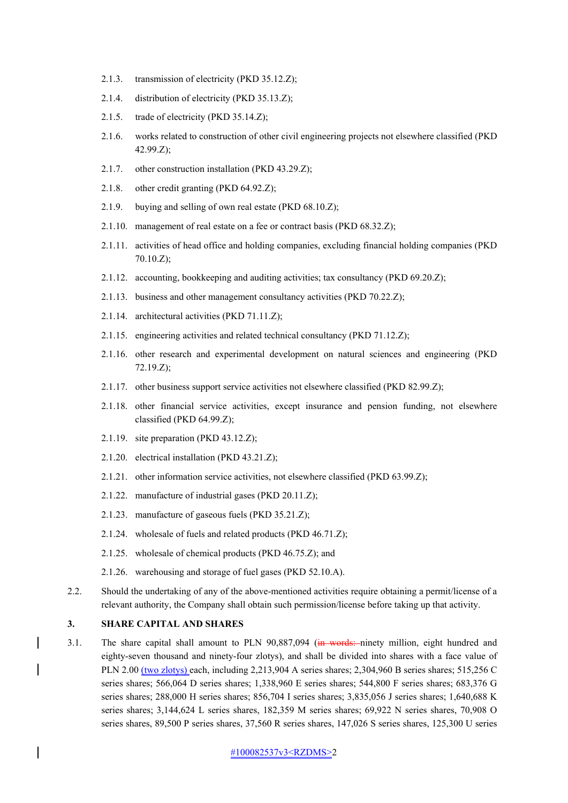- 2.1.3. transmission of electricity (PKD 35.12.Z);
- 2.1.4. distribution of electricity (PKD 35.13.Z);
- 2.1.5. trade of electricity (PKD 35.14.Z);
- 2.1.6. works related to construction of other civil engineering projects not elsewhere classified (PKD 42.99.Z);
- 2.1.7. other construction installation (PKD 43.29.Z);
- 2.1.8. other credit granting (PKD 64.92.Z);
- 2.1.9. buying and selling of own real estate (PKD 68.10.Z);
- 2.1.10. management of real estate on a fee or contract basis (PKD 68.32.Z);
- 2.1.11. activities of head office and holding companies, excluding financial holding companies (PKD 70.10.Z);
- 2.1.12. accounting, bookkeeping and auditing activities; tax consultancy (PKD 69.20.Z);
- 2.1.13. business and other management consultancy activities (PKD 70.22.Z);
- 2.1.14. architectural activities (PKD 71.11.Z);
- 2.1.15. engineering activities and related technical consultancy (PKD 71.12.Z);
- 2.1.16. other research and experimental development on natural sciences and engineering (PKD 72.19.Z);
- 2.1.17. other business support service activities not elsewhere classified (PKD 82.99.Z);
- 2.1.18. other financial service activities, except insurance and pension funding, not elsewhere classified (PKD 64.99.Z);
- 2.1.19. site preparation (PKD 43.12.Z);
- 2.1.20. electrical installation (PKD 43.21.Z);
- 2.1.21. other information service activities, not elsewhere classified (PKD 63.99.Z);
- 2.1.22. manufacture of industrial gases (PKD 20.11.Z);
- 2.1.23. manufacture of gaseous fuels (PKD 35.21.Z);
- 2.1.24. wholesale of fuels and related products (PKD 46.71.Z);
- 2.1.25. wholesale of chemical products (PKD 46.75.Z); and
- 2.1.26. warehousing and storage of fuel gases (PKD 52.10.A).
- 2.2. Should the undertaking of any of the above-mentioned activities require obtaining a permit/license of a relevant authority, the Company shall obtain such permission/license before taking up that activity.

### **3. SHARE CAPITAL AND SHARES**

 $\overline{\phantom{a}}$ 

3.1. The share capital shall amount to PLN 90,887,094 (in words: ninety million, eight hundred and eighty-seven thousand and ninety-four zlotys), and shall be divided into shares with a face value of PLN 2.00 (two zlotys) each, including 2,213,904 A series shares; 2,304,960 B series shares; 515,256 C series shares; 566,064 D series shares; 1,338,960 E series shares; 544,800 F series shares; 683,376 G series shares; 288,000 H series shares; 856,704 I series shares; 3,835,056 J series shares; 1,640,688 K series shares; 3,144,624 L series shares, 182,359 M series shares; 69,922 N series shares, 70,908 O series shares, 89,500 P series shares, 37,560 R series shares, 147,026 S series shares, 125,300 U series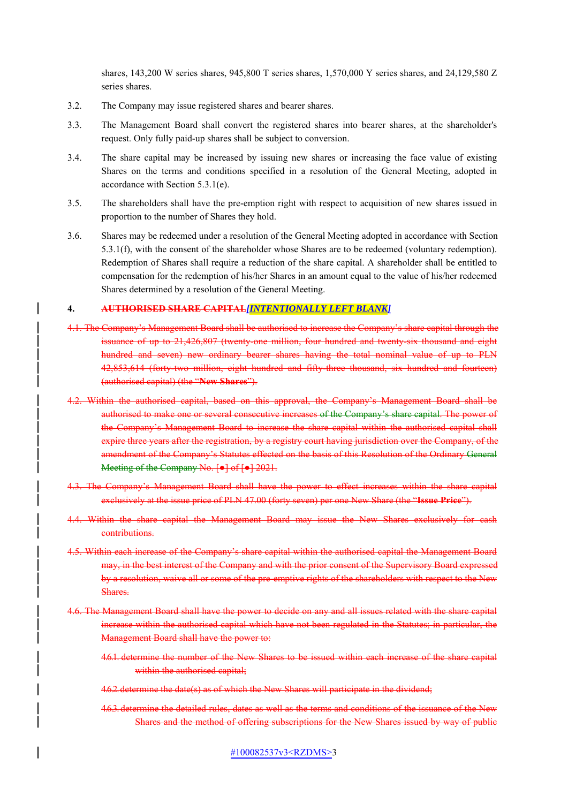shares, 143,200 W series shares, 945,800 T series shares, 1,570,000 Y series shares, and 24,129,580 Z series shares.

- 3.2. The Company may issue registered shares and bearer shares.
- 3.3. The Management Board shall convert the registered shares into bearer shares, at the shareholder's request. Only fully paid-up shares shall be subject to conversion.
- 3.4. The share capital may be increased by issuing new shares or increasing the face value of existing Shares on the terms and conditions specified in a resolution of the General Meeting, adopted in accordance with Section 5.3.1(e).
- 3.5. The shareholders shall have the pre-emption right with respect to acquisition of new shares issued in proportion to the number of Shares they hold.
- 3.6. Shares may be redeemed under a resolution of the General Meeting adopted in accordance with Section 5.3.1(f), with the consent of the shareholder whose Shares are to be redeemed (voluntary redemption). Redemption of Shares shall require a reduction of the share capital. A shareholder shall be entitled to compensation for the redemption of his/her Shares in an amount equal to the value of his/her redeemed Shares determined by a resolution of the General Meeting.

#### **4. AUTHORISED SHARE CAPITAL***[INTENTIONALLY LEFT BLANK]*

- 4.1. The Company's Management Board shall be authorised to increase the Company's share capital through the issuance of up to 21,426,807 (twenty-one million, four hundred and twenty-six thousand and eight hundred and seven) new ordinary bearer shares having the total nominal value of up to PLN 42,853,614 (forty-two million, eight hundred and fifty-three thousand, six hundred and fourteen) (authorised capital) (the "**New Shares**").
- 4.2. Within the authorised capital, based on this approval, the Company's Management Board shall be authorised to make one or several consecutive increases of the Company's share capital. The power of the Company's Management Board to increase the share capital within the authorised capital shall expire three years after the registration, by a registry court having jurisdiction over the Company, of the amendment of the Company's Statutes effected on the basis of this Resolution of the Ordinary General Meeting of the Company No. [●] of [●] 2021.
- 4.3. The Company's Management Board shall have the power to effect increases within the share capital exclusively at the issue price of PLN 47.00 (forty seven) per one New Share (the "**Issue Price**").
- 4.4. Within the share capital the Management Board may issue the New Shares exclusively for cash contributions.
- 4.5. Within each increase of the Company's share capital within the authorised capital the Management Board may, in the best interest of the Company and with the prior consent of the Supervisory Board expressed by a resolution, waive all or some of the pre-emptive rights of the shareholders with respect to the New Shares.
- 4.6. The Management Board shall have the power to decide on any and all issues related with the share capital increase within the authorised capital which have not been regulated in the Statutes; in particular, the Management Board shall have the power to:
	- 4.6.1. determine the number of the New Shares to be issued within each increase of the share capital within the authorised capital;
	- 4.6.2.determine the date(s) as of which the New Shares will participate in the dividend;
	- 4.6.3. determine the detailed rules, dates as well as the terms and conditions of the issuance of the New Shares and the method of offering subscriptions for the New Shares issued by way of public

#100082537v3<RZDMS>3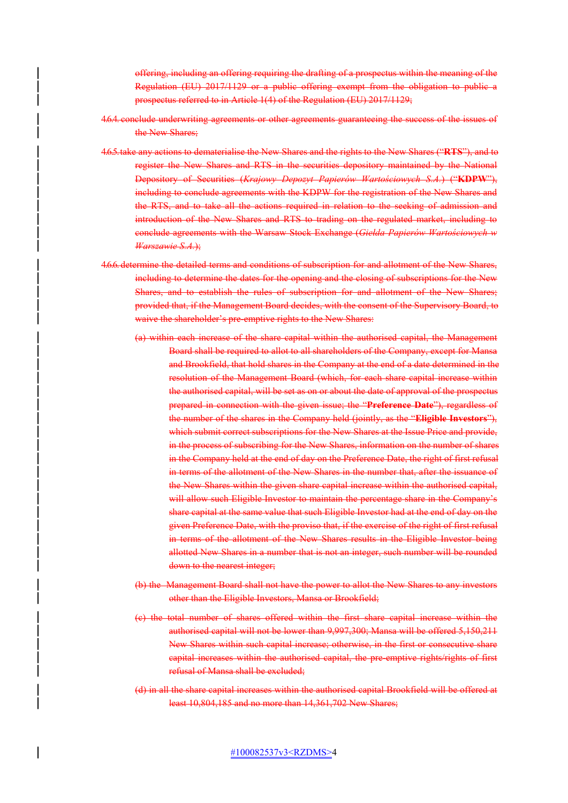offering, including an offering requiring the drafting of a prospectus within the meaning of the Regulation (EU) 2017/1129 or a public offering exempt from the obligation to public a prospectus referred to in Article 1(4) of the Regulation (EU) 2017/1129;

- 4.6.4. conclude underwriting agreements or other agreements guaranteeing the success of the issues of the New Shares:
- 4.6.5.take any actions to dematerialise the New Shares and the rights to the New Shares ("**RTS**"), and to register the New Shares and RTS in the securities depository maintained by the National Depository of Securities (*Krajowy Depozyt Papierów Wartościowych S.A.*) ("**KDPW**"), including to conclude agreements with the KDPW for the registration of the New Shares and the RTS, and to take all the actions required in relation to the seeking of admission and introduction of the New Shares and RTS to trading on the regulated market, including to conclude agreements with the Warsaw Stock Exchange (*Giełda Papierów Wartościowych w Warszawie S.A.*);
- 4.6.6. determine the detailed terms and conditions of subscription for and allotment of the New Shares, including to determine the dates for the opening and the closing of subscriptions for the New Shares, and to establish the rules of subscription for and allotment of the New Shares; provided that, if the Management Board decides, with the consent of the Supervisory Board, to waive the shareholder's pre-emptive rights to the New Shares:
	- (a) within each increase of the share capital within the authorised capital, the Management Board shall be required to allot to all shareholders of the Company, except for Mansa and Brookfield, that hold shares in the Company at the end of a date determined in the resolution of the Management Board (which, for each share capital increase within the authorised capital, will be set as on or about the date of approval of the prospectus prepared in connection with the given issue; the "**Preference Date**"), regardless of the number of the shares in the Company held (jointly, as the "**Eligible Investors**"), which submit correct subscriptions for the New Shares at the Issue Price and provide, in the process of subscribing for the New Shares, information on the number of shares in the Company held at the end of day on the Preference Date, the right of first refusal in terms of the allotment of the New Shares in the number that, after the issuance of the New Shares within the given share capital increase within the authorised capital, will allow such Eligible Investor to maintain the percentage share in the Company's share capital at the same value that such Eligible Investor had at the end of day on the given Preference Date, with the proviso that, if the exercise of the right of first refusal in terms of the allotment of the New Shares results in the Eligible Investor being allotted New Shares in a number that is not an integer, such number will be rounded down to the nearest integer;
	- (b) the Management Board shall not have the power to allot the New Shares to any investors other than the Eligible Investors, Mansa or Brookfield;
	- (c) the total number of shares offered within the first share capital increase within the authorised capital will not be lower than 9,997,300; Mansa will be offered 5,150,211 New Shares within such capital increase; otherwise, in the first or consecutive share capital increases within the authorised capital, the pre-emptive rights/rights of first refusal of Mansa shall be excluded;
	- (d) in all the share capital increases within the authorised capital Brookfield will be offered at least 10,804,185 and no more than 14,361,702 New Shares;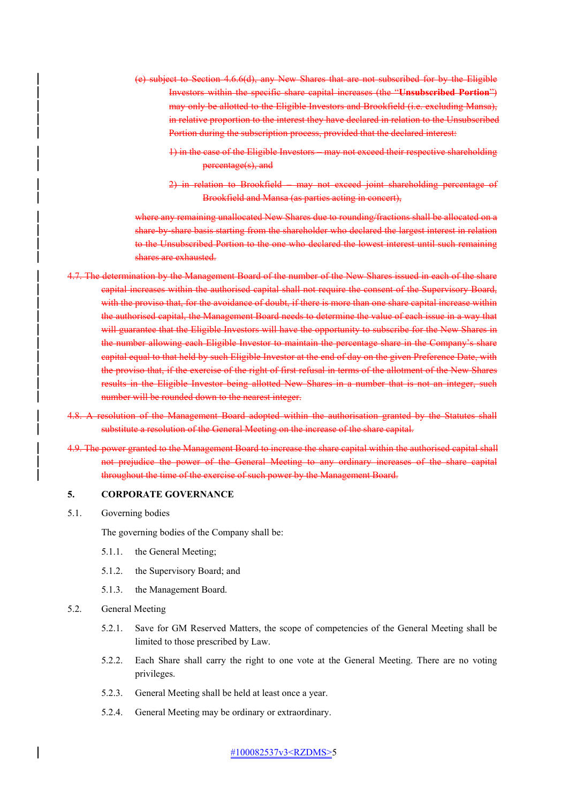- (e) subject to Section 4.6.6(d), any New Shares that are not subscribed for by the Eligible Investors within the specific share capital increases (the "**Unsubscribed Portion**") may only be allotted to the Eligible Investors and Brookfield (i.e. excluding Mansa), in relative proportion to the interest they have declared in relation to the Unsubscribed Portion during the subscription process, provided that the declared interest:
	- 1) in the case of the Eligible Investors may not exceed their respective shareholding percentage(s), and
	- 2) in relation to Brookfield may not exceed joint shareholding percentage of Brookfield and Mansa (as parties acting in concert),

where any remaining unallocated New Shares due to rounding/fractions shall be allocated on a share-by-share-basis starting from the shareholder who declared the largest interest in relation the Unsubscribed Portion to the one who declared the lowest interest until such remaining shares are exhausted.

- 4.7. The determination by the Management Board of the number of the New Shares issued in each of the share capital increases within the authorised capital shall not require the consent of the Supervisory Board, with the proviso that, for the avoidance of doubt, if there is more than one share capital increase within the authorised capital, the Management Board needs to determine the value of each issue in a way that will guarantee that the Eligible Investors will have the opportunity to subscribe for the New Shares in the number allowing each Eligible Investor to maintain the percentage share in the Company's share capital equal to that held by such Eligible Investor at the end of day on the given Preference Date, with the proviso that, if the exercise of the right of first refusal in terms of the allotment of the New Shares results in the Eligible Investor being allotted New Shares in a number that is not an integer, such number will be rounded down to the nearest integer.
- 4.8. A resolution of the Management Board adopted within the authorisation granted by the Statutes shall substitute a resolution of the General Meeting on the increase of the share capital.
- 4.9. The power granted to the Management Board to increase the share capital within the authorised capital shall not prejudice the power of the General Meeting to any ordinary increases of the share capital throughout the time of the exercise of such power by the Management Board.

#### **5. CORPORATE GOVERNANCE**

5.1. Governing bodies

The governing bodies of the Company shall be:

- 5.1.1. the General Meeting;
- 5.1.2. the Supervisory Board; and
- 5.1.3. the Management Board.
- 5.2. General Meeting
	- 5.2.1. Save for GM Reserved Matters, the scope of competencies of the General Meeting shall be limited to those prescribed by Law.
	- 5.2.2. Each Share shall carry the right to one vote at the General Meeting. There are no voting privileges.
	- 5.2.3. General Meeting shall be held at least once a year.
	- 5.2.4. General Meeting may be ordinary or extraordinary.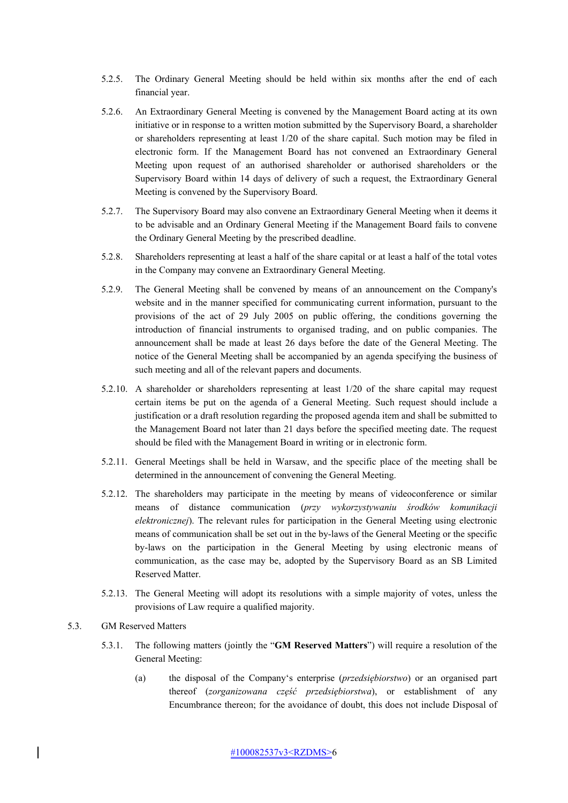- 5.2.5. The Ordinary General Meeting should be held within six months after the end of each financial year.
- 5.2.6. An Extraordinary General Meeting is convened by the Management Board acting at its own initiative or in response to a written motion submitted by the Supervisory Board, a shareholder or shareholders representing at least 1/20 of the share capital. Such motion may be filed in electronic form. If the Management Board has not convened an Extraordinary General Meeting upon request of an authorised shareholder or authorised shareholders or the Supervisory Board within 14 days of delivery of such a request, the Extraordinary General Meeting is convened by the Supervisory Board.
- 5.2.7. The Supervisory Board may also convene an Extraordinary General Meeting when it deems it to be advisable and an Ordinary General Meeting if the Management Board fails to convene the Ordinary General Meeting by the prescribed deadline.
- 5.2.8. Shareholders representing at least a half of the share capital or at least a half of the total votes in the Company may convene an Extraordinary General Meeting.
- 5.2.9. The General Meeting shall be convened by means of an announcement on the Company's website and in the manner specified for communicating current information, pursuant to the provisions of the act of 29 July 2005 on public offering, the conditions governing the introduction of financial instruments to organised trading, and on public companies. The announcement shall be made at least 26 days before the date of the General Meeting. The notice of the General Meeting shall be accompanied by an agenda specifying the business of such meeting and all of the relevant papers and documents.
- 5.2.10. A shareholder or shareholders representing at least 1/20 of the share capital may request certain items be put on the agenda of a General Meeting. Such request should include a justification or a draft resolution regarding the proposed agenda item and shall be submitted to the Management Board not later than 21 days before the specified meeting date. The request should be filed with the Management Board in writing or in electronic form.
- 5.2.11. General Meetings shall be held in Warsaw, and the specific place of the meeting shall be determined in the announcement of convening the General Meeting.
- 5.2.12. The shareholders may participate in the meeting by means of videoconference or similar means of distance communication (*przy wykorzystywaniu środków komunikacji elektronicznej*). The relevant rules for participation in the General Meeting using electronic means of communication shall be set out in the by-laws of the General Meeting or the specific by-laws on the participation in the General Meeting by using electronic means of communication, as the case may be, adopted by the Supervisory Board as an SB Limited Reserved Matter.
- 5.2.13. The General Meeting will adopt its resolutions with a simple majority of votes, unless the provisions of Law require a qualified majority.
- 5.3. GM Reserved Matters
	- 5.3.1. The following matters (jointly the "**GM Reserved Matters**") will require a resolution of the General Meeting:
		- (a) the disposal of the Company's enterprise (*przedsiębiorstwo*) or an organised part thereof (*zorganizowana część przedsiębiorstwa*), or establishment of any Encumbrance thereon; for the avoidance of doubt, this does not include Disposal of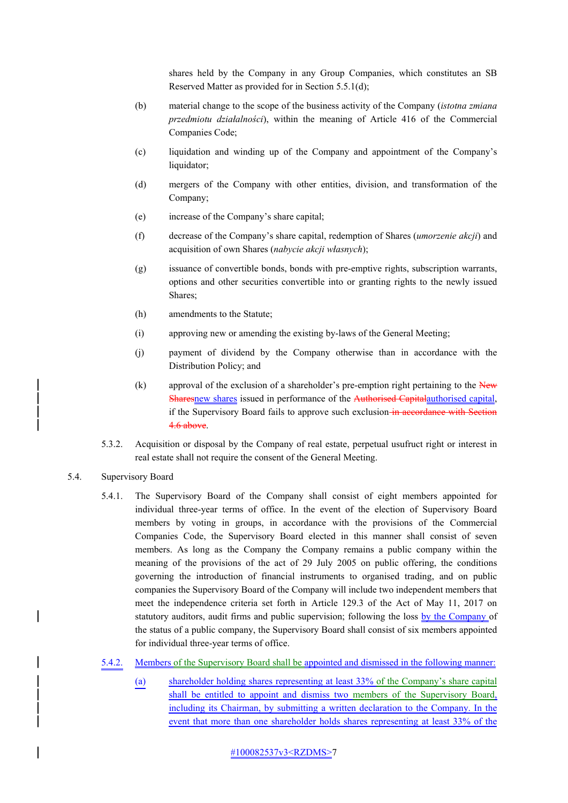shares held by the Company in any Group Companies, which constitutes an SB Reserved Matter as provided for in Section 5.5.1(d);

- (b) material change to the scope of the business activity of the Company (*istotna zmiana przedmiotu działalności*), within the meaning of Article 416 of the Commercial Companies Code;
- (c) liquidation and winding up of the Company and appointment of the Company's liquidator:
- (d) mergers of the Company with other entities, division, and transformation of the Company;
- (e) increase of the Company's share capital;
- (f) decrease of the Company's share capital, redemption of Shares (*umorzenie akcji*) and acquisition of own Shares (*nabycie akcji własnych*);
- (g) issuance of convertible bonds, bonds with pre-emptive rights, subscription warrants, options and other securities convertible into or granting rights to the newly issued Shares;
- (h) amendments to the Statute;
- (i) approving new or amending the existing by-laws of the General Meeting;
- (j) payment of dividend by the Company otherwise than in accordance with the Distribution Policy; and
- (k) approval of the exclusion of a shareholder's pre-emption right pertaining to the  $\overline{\text{New}}$ Sharesnew shares issued in performance of the Authorised Capitalauthorised capital, if the Supervisory Board fails to approve such exclusion-in accordance with Section 4.6 above.
- 5.3.2. Acquisition or disposal by the Company of real estate, perpetual usufruct right or interest in real estate shall not require the consent of the General Meeting.
- 5.4. Supervisory Board
	- 5.4.1. The Supervisory Board of the Company shall consist of eight members appointed for individual three-year terms of office. In the event of the election of Supervisory Board members by voting in groups, in accordance with the provisions of the Commercial Companies Code, the Supervisory Board elected in this manner shall consist of seven members. As long as the Company the Company remains a public company within the meaning of the provisions of the act of 29 July 2005 on public offering, the conditions governing the introduction of financial instruments to organised trading, and on public companies the Supervisory Board of the Company will include two independent members that meet the independence criteria set forth in Article 129.3 of the Act of May 11, 2017 on statutory auditors, audit firms and public supervision; following the loss by the Company of the status of a public company, the Supervisory Board shall consist of six members appointed for individual three-year terms of office.
	- 5.4.2. Members of the Supervisory Board shall be appointed and dismissed in the following manner:
		- (a) shareholder holding shares representing at least 33% of the Company's share capital shall be entitled to appoint and dismiss two members of the Supervisory Board, including its Chairman, by submitting a written declaration to the Company. In the event that more than one shareholder holds shares representing at least 33% of the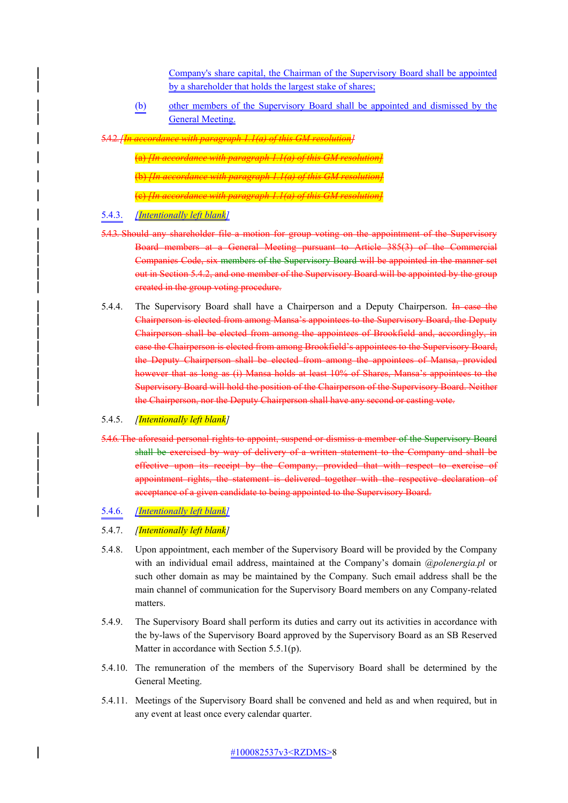Company's share capital, the Chairman of the Supervisory Board shall be appointed by a shareholder that holds the largest stake of shares;

(b) other members of the Supervisory Board shall be appointed and dismissed by the General Meeting.

5.4.2.*[In accordance with paragraph 1.1(a) of this GM resolution]*

(a) *[In accordance with paragraph 1.1(a) of this GM resolution]* (b) *[In accordance with paragraph 1.1(a) of this GM resolution]* (c) *[In accordance with paragraph 1.1(a) of this GM resolution]*

# 5.4.3. *[Intentionally left blank]*

- 5.4.3. Should any shareholder file a motion for group voting on the appointment of the Supervisory Board members at a General Meeting pursuant to Article 385(3) of the Commercial Companies Code, six members of the Supervisory Board will be appointed in the manner set out in Section 5.4.2, and one member of the Supervisory Board will be appointed by the group created in the group voting procedure.
- 5.4.4. The Supervisory Board shall have a Chairperson and a Deputy Chairperson. In case the Chairperson is elected from among Mansa's appointees to the Supervisory Board, the Deputy Chairperson shall be elected from among the appointees of Brookfield and, accordingly, in case the Chairperson is elected from among Brookfield's appointees to the Supervisory Board, the Deputy Chairperson shall be elected from among the appointees of Mansa, provided however that as long as (i) Mansa holds at least 10% of Shares, Mansa's appointees to the Supervisory Board will hold the position of the Chairperson of the Supervisory Board. Neither the Chairperson, nor the Deputy Chairperson shall have any second or casting vote.

#### 5.4.5. *[Intentionally left blank]*

5.4.6. The aforesaid personal rights to appoint, suspend or dismiss a member of the Supervisory Board shall be exercised by way of delivery of a written statement to the Company and shall be effective upon its receipt by the Company, provided that with respect to exercise of appointment rights, the statement is delivered together with the respective declaration of acceptance of a given candidate to being appointed to the Supervisory Board.

#### 5.4.6. *[Intentionally left blank]*

### 5.4.7. *[Intentionally left blank]*

- 5.4.8. Upon appointment, each member of the Supervisory Board will be provided by the Company with an individual email address, maintained at the Company's domain *@polenergia.pl* or such other domain as may be maintained by the Company*.* Such email address shall be the main channel of communication for the Supervisory Board members on any Company-related matters.
- 5.4.9. The Supervisory Board shall perform its duties and carry out its activities in accordance with the by-laws of the Supervisory Board approved by the Supervisory Board as an SB Reserved Matter in accordance with Section 5.5.1(p).
- 5.4.10. The remuneration of the members of the Supervisory Board shall be determined by the General Meeting.
- 5.4.11. Meetings of the Supervisory Board shall be convened and held as and when required, but in any event at least once every calendar quarter.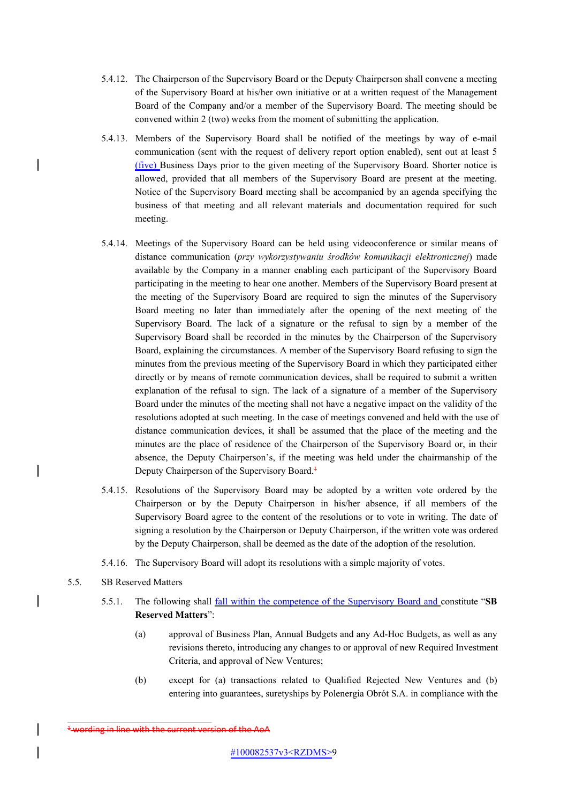- 5.4.12. The Chairperson of the Supervisory Board or the Deputy Chairperson shall convene a meeting of the Supervisory Board at his/her own initiative or at a written request of the Management Board of the Company and/or a member of the Supervisory Board. The meeting should be convened within 2 (two) weeks from the moment of submitting the application.
- 5.4.13. Members of the Supervisory Board shall be notified of the meetings by way of e-mail communication (sent with the request of delivery report option enabled), sent out at least 5 (five) Business Days prior to the given meeting of the Supervisory Board. Shorter notice is allowed, provided that all members of the Supervisory Board are present at the meeting. Notice of the Supervisory Board meeting shall be accompanied by an agenda specifying the business of that meeting and all relevant materials and documentation required for such meeting.
- 5.4.14. Meetings of the Supervisory Board can be held using videoconference or similar means of distance communication (*przy wykorzystywaniu środków komunikacji elektronicznej*) made available by the Company in a manner enabling each participant of the Supervisory Board participating in the meeting to hear one another. Members of the Supervisory Board present at the meeting of the Supervisory Board are required to sign the minutes of the Supervisory Board meeting no later than immediately after the opening of the next meeting of the Supervisory Board. The lack of a signature or the refusal to sign by a member of the Supervisory Board shall be recorded in the minutes by the Chairperson of the Supervisory Board, explaining the circumstances. A member of the Supervisory Board refusing to sign the minutes from the previous meeting of the Supervisory Board in which they participated either directly or by means of remote communication devices, shall be required to submit a written explanation of the refusal to sign. The lack of a signature of a member of the Supervisory Board under the minutes of the meeting shall not have a negative impact on the validity of the resolutions adopted at such meeting. In the case of meetings convened and held with the use of distance communication devices, it shall be assumed that the place of the meeting and the minutes are the place of residence of the Chairperson of the Supervisory Board or, in their absence, the Deputy Chairperson's, if the meeting was held under the chairmanship of the Deputy Chairperson of the Supervisory Board.<sup>1</sup>
- 5.4.15. Resolutions of the Supervisory Board may be adopted by a written vote ordered by the Chairperson or by the Deputy Chairperson in his/her absence, if all members of the Supervisory Board agree to the content of the resolutions or to vote in writing. The date of signing a resolution by the Chairperson or Deputy Chairperson, if the written vote was ordered by the Deputy Chairperson, shall be deemed as the date of the adoption of the resolution.
- 5.4.16. The Supervisory Board will adopt its resolutions with a simple majority of votes.
- 5.5. SB Reserved Matters

 $\overline{\phantom{a}}$ 

- 5.5.1. The following shall fall within the competence of the Supervisory Board and constitute "**SB Reserved Matters**":
	- (a) approval of Business Plan, Annual Budgets and any Ad-Hoc Budgets, as well as any revisions thereto, introducing any changes to or approval of new Required Investment Criteria, and approval of New Ventures;
	- (b) except for (a) transactions related to Qualified Rejected New Ventures and (b) entering into guarantees, suretyships by Polenergia Obrót S.A. in compliance with the

<sup>&</sup>lt;sup>+</sup> wording in line with the current version of the AoA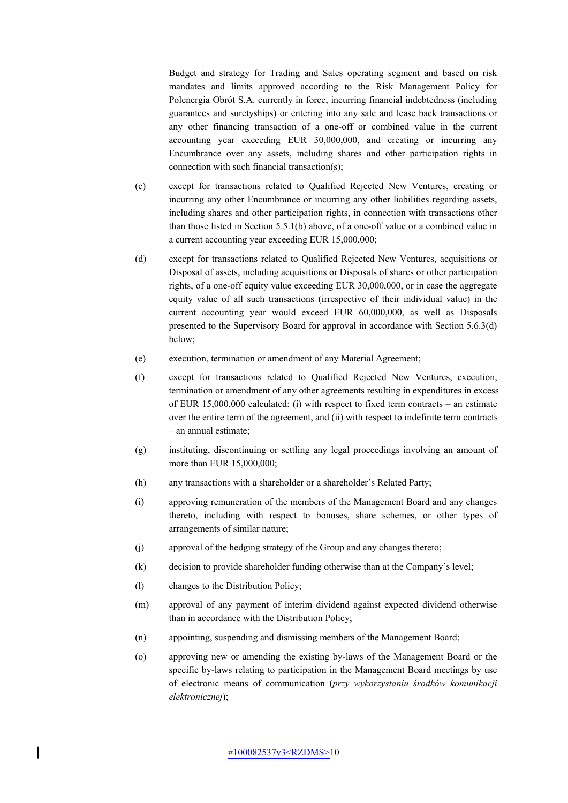Budget and strategy for Trading and Sales operating segment and based on risk mandates and limits approved according to the Risk Management Policy for Polenergia Obrót S.A. currently in force, incurring financial indebtedness (including guarantees and suretyships) or entering into any sale and lease back transactions or any other financing transaction of a one-off or combined value in the current accounting year exceeding EUR 30,000,000, and creating or incurring any Encumbrance over any assets, including shares and other participation rights in connection with such financial transaction(s);

- (c) except for transactions related to Qualified Rejected New Ventures, creating or incurring any other Encumbrance or incurring any other liabilities regarding assets, including shares and other participation rights, in connection with transactions other than those listed in Section 5.5.1(b) above, of a one-off value or a combined value in a current accounting year exceeding EUR 15,000,000;
- (d) except for transactions related to Qualified Rejected New Ventures, acquisitions or Disposal of assets, including acquisitions or Disposals of shares or other participation rights, of a one-off equity value exceeding EUR 30,000,000, or in case the aggregate equity value of all such transactions (irrespective of their individual value) in the current accounting year would exceed EUR 60,000,000, as well as Disposals presented to the Supervisory Board for approval in accordance with Section 5.6.3(d) below;
- (e) execution, termination or amendment of any Material Agreement;
- (f) except for transactions related to Qualified Rejected New Ventures, execution, termination or amendment of any other agreements resulting in expenditures in excess of EUR 15,000,000 calculated: (i) with respect to fixed term contracts – an estimate over the entire term of the agreement, and (ii) with respect to indefinite term contracts – an annual estimate;
- (g) instituting, discontinuing or settling any legal proceedings involving an amount of more than EUR 15,000,000;
- (h) any transactions with a shareholder or a shareholder's Related Party;
- (i) approving remuneration of the members of the Management Board and any changes thereto, including with respect to bonuses, share schemes, or other types of arrangements of similar nature;
- (j) approval of the hedging strategy of the Group and any changes thereto;
- (k) decision to provide shareholder funding otherwise than at the Company's level;
- (l) changes to the Distribution Policy;
- (m) approval of any payment of interim dividend against expected dividend otherwise than in accordance with the Distribution Policy;
- (n) appointing, suspending and dismissing members of the Management Board;
- (o) approving new or amending the existing by-laws of the Management Board or the specific by-laws relating to participation in the Management Board meetings by use of electronic means of communication (*przy wykorzystaniu środków komunikacji elektronicznej*);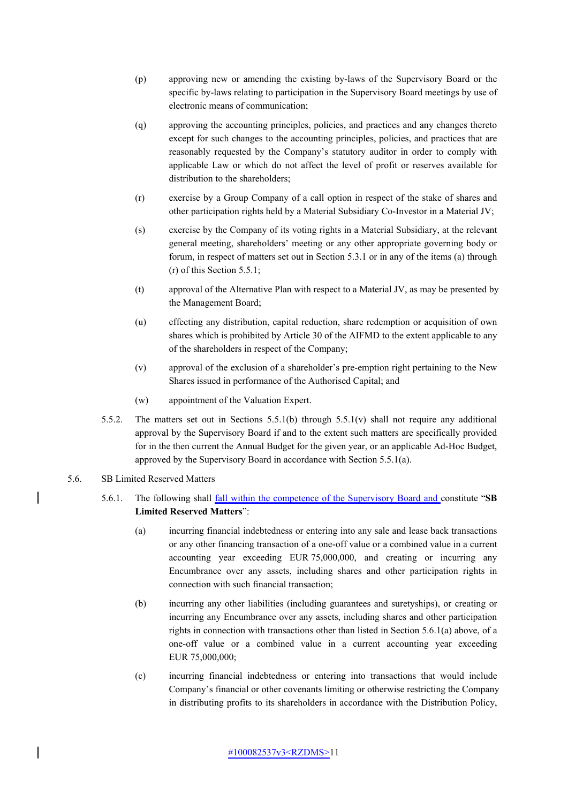- (p) approving new or amending the existing by-laws of the Supervisory Board or the specific by-laws relating to participation in the Supervisory Board meetings by use of electronic means of communication;
- (q) approving the accounting principles, policies, and practices and any changes thereto except for such changes to the accounting principles, policies, and practices that are reasonably requested by the Company's statutory auditor in order to comply with applicable Law or which do not affect the level of profit or reserves available for distribution to the shareholders;
- (r) exercise by a Group Company of a call option in respect of the stake of shares and other participation rights held by a Material Subsidiary Co-Investor in a Material JV;
- (s) exercise by the Company of its voting rights in a Material Subsidiary, at the relevant general meeting, shareholders' meeting or any other appropriate governing body or forum, in respect of matters set out in Section 5.3.1 or in any of the items (a) through (r) of this Section 5.5.1;
- (t) approval of the Alternative Plan with respect to a Material JV, as may be presented by the Management Board;
- (u) effecting any distribution, capital reduction, share redemption or acquisition of own shares which is prohibited by Article 30 of the AIFMD to the extent applicable to any of the shareholders in respect of the Company;
- (v) approval of the exclusion of a shareholder's pre-emption right pertaining to the New Shares issued in performance of the Authorised Capital; and
- (w) appointment of the Valuation Expert.
- 5.5.2. The matters set out in Sections 5.5.1(b) through 5.5.1(v) shall not require any additional approval by the Supervisory Board if and to the extent such matters are specifically provided for in the then current the Annual Budget for the given year, or an applicable Ad-Hoc Budget, approved by the Supervisory Board in accordance with Section 5.5.1(a).
- 5.6. SB Limited Reserved Matters
	- 5.6.1. The following shall fall within the competence of the Supervisory Board and constitute "**SB Limited Reserved Matters**":
		- (a) incurring financial indebtedness or entering into any sale and lease back transactions or any other financing transaction of a one-off value or a combined value in a current accounting year exceeding EUR 75,000,000, and creating or incurring any Encumbrance over any assets, including shares and other participation rights in connection with such financial transaction;
		- (b) incurring any other liabilities (including guarantees and suretyships), or creating or incurring any Encumbrance over any assets, including shares and other participation rights in connection with transactions other than listed in Section 5.6.1(a) above, of a one-off value or a combined value in a current accounting year exceeding EUR 75,000,000;
		- (c) incurring financial indebtedness or entering into transactions that would include Company's financial or other covenants limiting or otherwise restricting the Company in distributing profits to its shareholders in accordance with the Distribution Policy,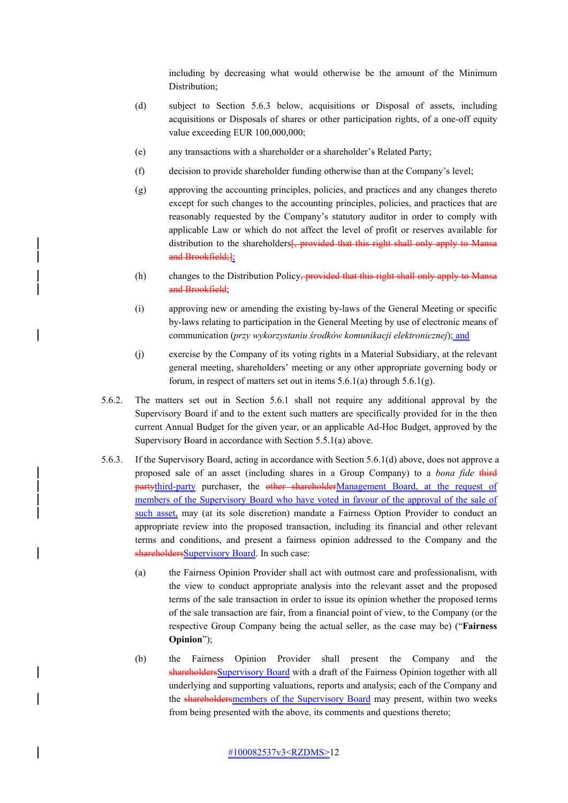including by decreasing what would otherwise be the amount of the Minimum Distribution;

- (d) subject to Section 5.6.3 below, acquisitions or Disposal of assets, including acquisitions or Disposals of shares or other participation rights, of a one-off equity value exceeding EUR 100,000,000;
- (e) any transactions with a shareholder or a shareholder's Related Party;
- (f) decision to provide shareholder funding otherwise than at the Company's level;
- (g) approving the accounting principles, policies, and practices and any changes thereto except for such changes to the accounting principles, policies, and practices that are reasonably requested by the Company's statutory auditor in order to comply with applicable Law or which do not affect the level of profit or reserves available for distribution to the shareholders<sup>[</sup>, provided that this right shall only apply to Mansa and Brookfield;];
- (h) changes to the Distribution Policy, provided that this right shall only apply to Mansa and Brookfield;
- (i) approving new or amending the existing by-laws of the General Meeting or specific by-laws relating to participation in the General Meeting by use of electronic means of communication (*przy wykorzystaniu środków komunikacji elektronicznej*); and
- (j) exercise by the Company of its voting rights in a Material Subsidiary, at the relevant general meeting, shareholders' meeting or any other appropriate governing body or forum, in respect of matters set out in items  $5.6.1(a)$  through  $5.6.1(g)$ .
- 5.6.2. The matters set out in Section 5.6.1 shall not require any additional approval by the Supervisory Board if and to the extent such matters are specifically provided for in the then current Annual Budget for the given year, or an applicable Ad-Hoc Budget, approved by the Supervisory Board in accordance with Section 5.5.1(a) above.
- 5.6.3. If the Supervisory Board, acting in accordance with Section 5.6.1(d) above, does not approve a proposed sale of an asset (including shares in a Group Company) to a *bona fide* third partythird-party purchaser, the other shareholderManagement Board, at the request of members of the Supervisory Board who have voted in favour of the approval of the sale of such asset, may (at its sole discretion) mandate a Fairness Option Provider to conduct an appropriate review into the proposed transaction, including its financial and other relevant terms and conditions, and present a fairness opinion addressed to the Company and the shareholdersSupervisory Board. In such case:
	- (a) the Fairness Opinion Provider shall act with outmost care and professionalism, with the view to conduct appropriate analysis into the relevant asset and the proposed terms of the sale transaction in order to issue its opinion whether the proposed terms of the sale transaction are fair, from a financial point of view, to the Company (or the respective Group Company being the actual seller, as the case may be) ("**Fairness Opinion**");
	- (b) the Fairness Opinion Provider shall present the Company and the shareholdersSupervisory Board with a draft of the Fairness Opinion together with all underlying and supporting valuations, reports and analysis; each of the Company and the shareholdersmembers of the Supervisory Board may present, within two weeks from being presented with the above, its comments and questions thereto;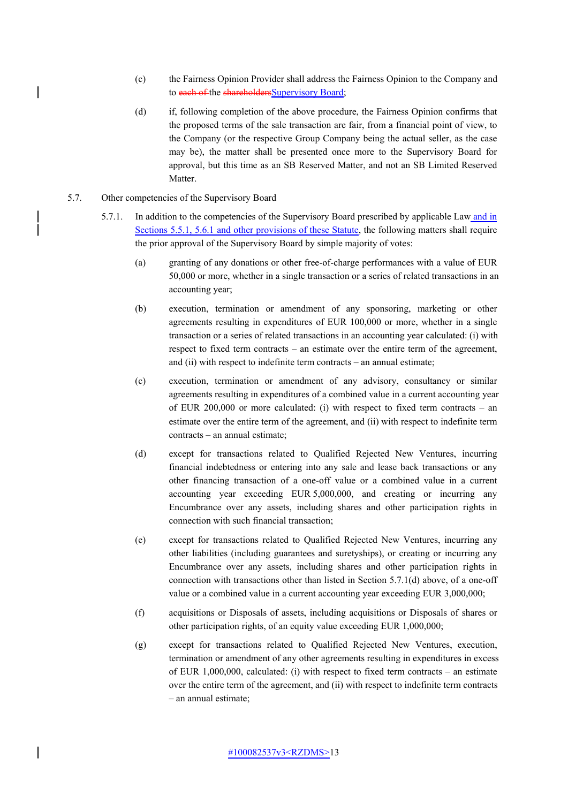- (c) the Fairness Opinion Provider shall address the Fairness Opinion to the Company and to each of the shareholdersSupervisory Board;
- (d) if, following completion of the above procedure, the Fairness Opinion confirms that the proposed terms of the sale transaction are fair, from a financial point of view, to the Company (or the respective Group Company being the actual seller, as the case may be), the matter shall be presented once more to the Supervisory Board for approval, but this time as an SB Reserved Matter, and not an SB Limited Reserved Matter.
- 5.7. Other competencies of the Supervisory Board
	- 5.7.1. In addition to the competencies of the Supervisory Board prescribed by applicable Law and in Sections 5.5.1, 5.6.1 and other provisions of these Statute, the following matters shall require the prior approval of the Supervisory Board by simple majority of votes:
		- (a) granting of any donations or other free-of-charge performances with a value of EUR 50,000 or more, whether in a single transaction or a series of related transactions in an accounting year;
		- (b) execution, termination or amendment of any sponsoring, marketing or other agreements resulting in expenditures of EUR 100,000 or more, whether in a single transaction or a series of related transactions in an accounting year calculated: (i) with respect to fixed term contracts – an estimate over the entire term of the agreement, and (ii) with respect to indefinite term contracts – an annual estimate;
		- (c) execution, termination or amendment of any advisory, consultancy or similar agreements resulting in expenditures of a combined value in a current accounting year of EUR 200,000 or more calculated: (i) with respect to fixed term contracts – an estimate over the entire term of the agreement, and (ii) with respect to indefinite term contracts – an annual estimate;
		- (d) except for transactions related to Qualified Rejected New Ventures, incurring financial indebtedness or entering into any sale and lease back transactions or any other financing transaction of a one-off value or a combined value in a current accounting year exceeding EUR 5,000,000, and creating or incurring any Encumbrance over any assets, including shares and other participation rights in connection with such financial transaction;
		- (e) except for transactions related to Qualified Rejected New Ventures, incurring any other liabilities (including guarantees and suretyships), or creating or incurring any Encumbrance over any assets, including shares and other participation rights in connection with transactions other than listed in Section 5.7.1(d) above, of a one-off value or a combined value in a current accounting year exceeding EUR 3,000,000;
		- (f) acquisitions or Disposals of assets, including acquisitions or Disposals of shares or other participation rights, of an equity value exceeding EUR 1,000,000;
		- (g) except for transactions related to Qualified Rejected New Ventures, execution, termination or amendment of any other agreements resulting in expenditures in excess of EUR 1,000,000, calculated: (i) with respect to fixed term contracts – an estimate over the entire term of the agreement, and (ii) with respect to indefinite term contracts – an annual estimate;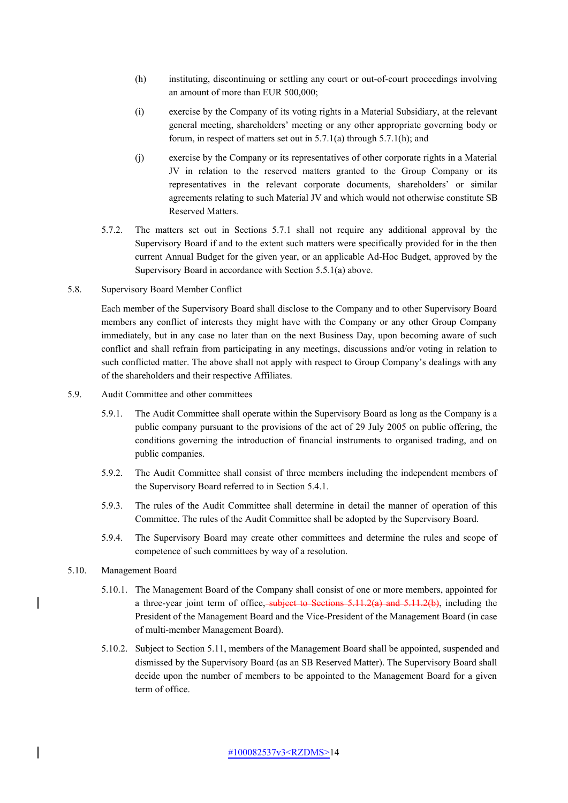- (h) instituting, discontinuing or settling any court or out-of-court proceedings involving an amount of more than EUR 500,000;
- (i) exercise by the Company of its voting rights in a Material Subsidiary, at the relevant general meeting, shareholders' meeting or any other appropriate governing body or forum, in respect of matters set out in 5.7.1(a) through 5.7.1(h); and
- (j) exercise by the Company or its representatives of other corporate rights in a Material JV in relation to the reserved matters granted to the Group Company or its representatives in the relevant corporate documents, shareholders' or similar agreements relating to such Material JV and which would not otherwise constitute SB Reserved Matters.
- 5.7.2. The matters set out in Sections 5.7.1 shall not require any additional approval by the Supervisory Board if and to the extent such matters were specifically provided for in the then current Annual Budget for the given year, or an applicable Ad-Hoc Budget, approved by the Supervisory Board in accordance with Section 5.5.1(a) above.
- 5.8. Supervisory Board Member Conflict

Each member of the Supervisory Board shall disclose to the Company and to other Supervisory Board members any conflict of interests they might have with the Company or any other Group Company immediately, but in any case no later than on the next Business Day, upon becoming aware of such conflict and shall refrain from participating in any meetings, discussions and/or voting in relation to such conflicted matter. The above shall not apply with respect to Group Company's dealings with any of the shareholders and their respective Affiliates.

- 5.9. Audit Committee and other committees
	- 5.9.1. The Audit Committee shall operate within the Supervisory Board as long as the Company is a public company pursuant to the provisions of the act of 29 July 2005 on public offering, the conditions governing the introduction of financial instruments to organised trading, and on public companies.
	- 5.9.2. The Audit Committee shall consist of three members including the independent members of the Supervisory Board referred to in Section 5.4.1.
	- 5.9.3. The rules of the Audit Committee shall determine in detail the manner of operation of this Committee. The rules of the Audit Committee shall be adopted by the Supervisory Board.
	- 5.9.4. The Supervisory Board may create other committees and determine the rules and scope of competence of such committees by way of a resolution.
- 5.10. Management Board
	- 5.10.1. The Management Board of the Company shall consist of one or more members, appointed for a three-year joint term of office, subject to Sections  $5.11.2(a)$  and  $5.11.2(b)$ , including the President of the Management Board and the Vice-President of the Management Board (in case of multi-member Management Board).
	- 5.10.2. Subject to Section 5.11, members of the Management Board shall be appointed, suspended and dismissed by the Supervisory Board (as an SB Reserved Matter). The Supervisory Board shall decide upon the number of members to be appointed to the Management Board for a given term of office.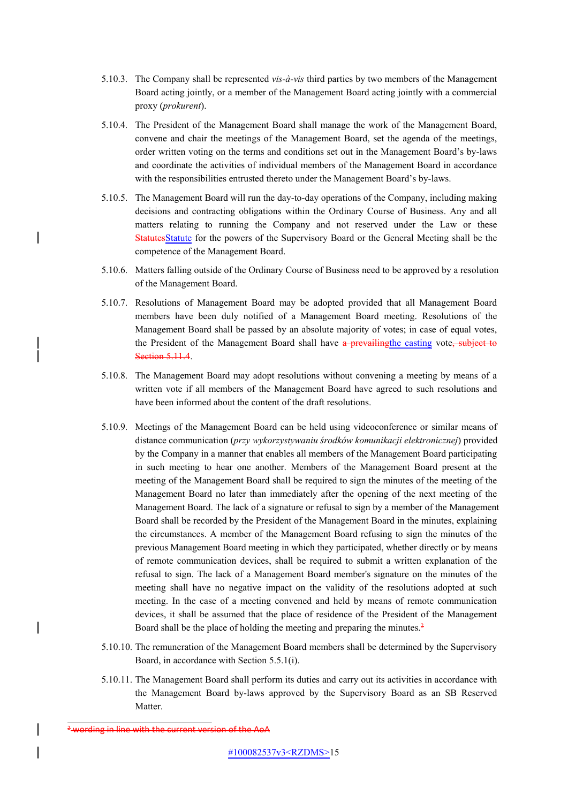- 5.10.3. The Company shall be represented *vis-à-vis* third parties by two members of the Management Board acting jointly, or a member of the Management Board acting jointly with a commercial proxy (*prokurent*).
- 5.10.4. The President of the Management Board shall manage the work of the Management Board, convene and chair the meetings of the Management Board, set the agenda of the meetings, order written voting on the terms and conditions set out in the Management Board's by-laws and coordinate the activities of individual members of the Management Board in accordance with the responsibilities entrusted thereto under the Management Board's by-laws.
- 5.10.5. The Management Board will run the day-to-day operations of the Company, including making decisions and contracting obligations within the Ordinary Course of Business. Any and all matters relating to running the Company and not reserved under the Law or these StatutesStatute for the powers of the Supervisory Board or the General Meeting shall be the competence of the Management Board.
- 5.10.6. Matters falling outside of the Ordinary Course of Business need to be approved by a resolution of the Management Board.
- 5.10.7. Resolutions of Management Board may be adopted provided that all Management Board members have been duly notified of a Management Board meeting. Resolutions of the Management Board shall be passed by an absolute majority of votes; in case of equal votes, the President of the Management Board shall have a prevailing the casting vote, subject to **Section 5.11.4.**
- 5.10.8. The Management Board may adopt resolutions without convening a meeting by means of a written vote if all members of the Management Board have agreed to such resolutions and have been informed about the content of the draft resolutions.
- 5.10.9. Meetings of the Management Board can be held using videoconference or similar means of distance communication (*przy wykorzystywaniu środków komunikacji elektronicznej*) provided by the Company in a manner that enables all members of the Management Board participating in such meeting to hear one another. Members of the Management Board present at the meeting of the Management Board shall be required to sign the minutes of the meeting of the Management Board no later than immediately after the opening of the next meeting of the Management Board. The lack of a signature or refusal to sign by a member of the Management Board shall be recorded by the President of the Management Board in the minutes, explaining the circumstances. A member of the Management Board refusing to sign the minutes of the previous Management Board meeting in which they participated, whether directly or by means of remote communication devices, shall be required to submit a written explanation of the refusal to sign. The lack of a Management Board member's signature on the minutes of the meeting shall have no negative impact on the validity of the resolutions adopted at such meeting. In the case of a meeting convened and held by means of remote communication devices, it shall be assumed that the place of residence of the President of the Management Board shall be the place of holding the meeting and preparing the minutes. $\frac{2}{3}$
- 5.10.10. The remuneration of the Management Board members shall be determined by the Supervisory Board, in accordance with Section 5.5.1(i).
- 5.10.11. The Management Board shall perform its duties and carry out its activities in accordance with the Management Board by-laws approved by the Supervisory Board as an SB Reserved Matter.

<sup>&</sup>lt;sup>2</sup> wording in line with the current version of the AoA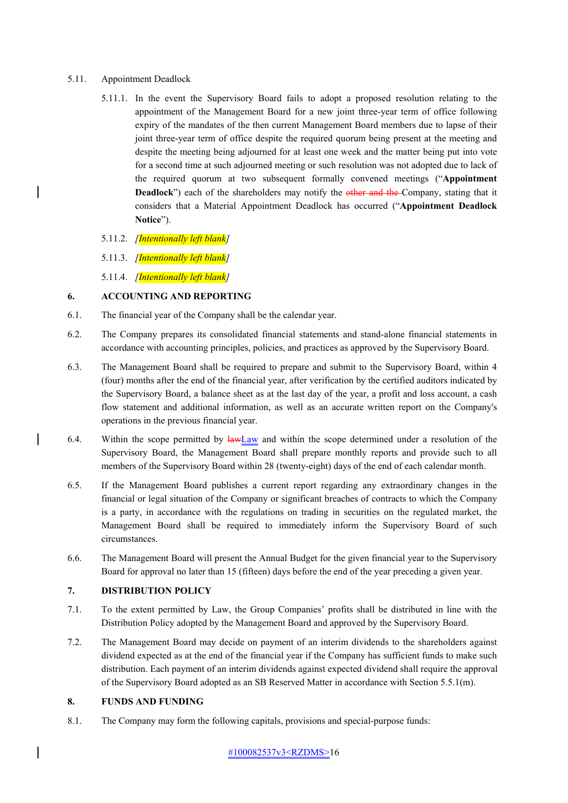5.11. Appointment Deadlock

 $\overline{\phantom{a}}$ 

 $\overline{\phantom{a}}$ 

- 5.11.1. In the event the Supervisory Board fails to adopt a proposed resolution relating to the appointment of the Management Board for a new joint three-year term of office following expiry of the mandates of the then current Management Board members due to lapse of their joint three-year term of office despite the required quorum being present at the meeting and despite the meeting being adjourned for at least one week and the matter being put into vote for a second time at such adjourned meeting or such resolution was not adopted due to lack of the required quorum at two subsequent formally convened meetings ("**Appointment Deadlock**") each of the shareholders may notify the other and the Company, stating that it considers that a Material Appointment Deadlock has occurred ("**Appointment Deadlock Notice**").
- 5.11.2. *[Intentionally left blank]*
- 5.11.3. *[Intentionally left blank]*
- 5.11.4. *[Intentionally left blank]*

## **6. ACCOUNTING AND REPORTING**

- 6.1. The financial year of the Company shall be the calendar year.
- 6.2. The Company prepares its consolidated financial statements and stand-alone financial statements in accordance with accounting principles, policies, and practices as approved by the Supervisory Board.
- 6.3. The Management Board shall be required to prepare and submit to the Supervisory Board, within 4 (four) months after the end of the financial year, after verification by the certified auditors indicated by the Supervisory Board, a balance sheet as at the last day of the year, a profit and loss account, a cash flow statement and additional information, as well as an accurate written report on the Company's operations in the previous financial year.
- 6.4. Within the scope permitted by  $\frac{lawLaw}{lawLaw}$  and within the scope determined under a resolution of the Supervisory Board, the Management Board shall prepare monthly reports and provide such to all members of the Supervisory Board within 28 (twenty-eight) days of the end of each calendar month.
- 6.5. If the Management Board publishes a current report regarding any extraordinary changes in the financial or legal situation of the Company or significant breaches of contracts to which the Company is a party, in accordance with the regulations on trading in securities on the regulated market, the Management Board shall be required to immediately inform the Supervisory Board of such circumstances.
- 6.6. The Management Board will present the Annual Budget for the given financial year to the Supervisory Board for approval no later than 15 (fifteen) days before the end of the year preceding a given year.

## **7. DISTRIBUTION POLICY**

- 7.1. To the extent permitted by Law, the Group Companies' profits shall be distributed in line with the Distribution Policy adopted by the Management Board and approved by the Supervisory Board.
- 7.2. The Management Board may decide on payment of an interim dividends to the shareholders against dividend expected as at the end of the financial year if the Company has sufficient funds to make such distribution. Each payment of an interim dividends against expected dividend shall require the approval of the Supervisory Board adopted as an SB Reserved Matter in accordance with Section 5.5.1(m).

#### **8. FUNDS AND FUNDING**

8.1. The Company may form the following capitals, provisions and special-purpose funds: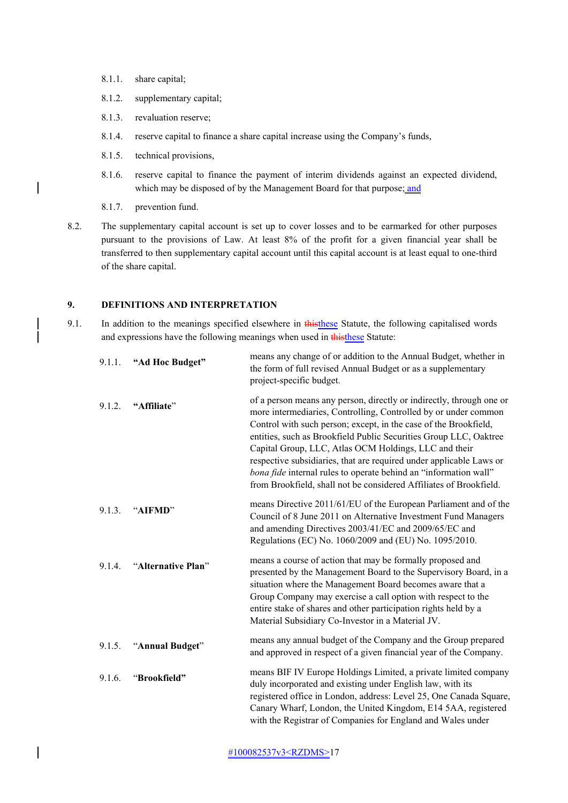- 8.1.1. share capital;
- 8.1.2. supplementary capital;
- 8.1.3. revaluation reserve;
- 8.1.4. reserve capital to finance a share capital increase using the Company's funds,
- 8.1.5. technical provisions,
- 8.1.6. reserve capital to finance the payment of interim dividends against an expected dividend, which may be disposed of by the Management Board for that purpose; and
- 8.1.7. prevention fund.

 $\overline{\phantom{a}}$ 

 $\overline{\phantom{a}}$ 

8.2. The supplementary capital account is set up to cover losses and to be earmarked for other purposes pursuant to the provisions of Law. At least 8% of the profit for a given financial year shall be transferred to then supplementary capital account until this capital account is at least equal to one-third of the share capital.

#### **9. DEFINITIONS AND INTERPRETATION**

9.1. In addition to the meanings specified elsewhere in this these Statute, the following capitalised words and expressions have the following meanings when used in thisthese Statute:

| 9.1.1. | "Ad Hoc Budget"    | means any change of or addition to the Annual Budget, whether in<br>the form of full revised Annual Budget or as a supplementary<br>project-specific budget.                                                                                                                                                                                                                                                                                                                                                                                               |
|--------|--------------------|------------------------------------------------------------------------------------------------------------------------------------------------------------------------------------------------------------------------------------------------------------------------------------------------------------------------------------------------------------------------------------------------------------------------------------------------------------------------------------------------------------------------------------------------------------|
| 9.1.2. | "Affiliate"        | of a person means any person, directly or indirectly, through one or<br>more intermediaries, Controlling, Controlled by or under common<br>Control with such person; except, in the case of the Brookfield,<br>entities, such as Brookfield Public Securities Group LLC, Oaktree<br>Capital Group, LLC, Atlas OCM Holdings, LLC and their<br>respective subsidiaries, that are required under applicable Laws or<br>bona fide internal rules to operate behind an "information wall"<br>from Brookfield, shall not be considered Affiliates of Brookfield. |
| 9.1.3. | "AIFMD"            | means Directive 2011/61/EU of the European Parliament and of the<br>Council of 8 June 2011 on Alternative Investment Fund Managers<br>and amending Directives 2003/41/EC and 2009/65/EC and<br>Regulations (EC) No. 1060/2009 and (EU) No. 1095/2010.                                                                                                                                                                                                                                                                                                      |
| 9.1.4. | "Alternative Plan" | means a course of action that may be formally proposed and<br>presented by the Management Board to the Supervisory Board, in a<br>situation where the Management Board becomes aware that a<br>Group Company may exercise a call option with respect to the<br>entire stake of shares and other participation rights held by a<br>Material Subsidiary Co-Investor in a Material JV.                                                                                                                                                                        |
| 9.1.5. | "Annual Budget"    | means any annual budget of the Company and the Group prepared<br>and approved in respect of a given financial year of the Company.                                                                                                                                                                                                                                                                                                                                                                                                                         |
| 9.1.6. | "Brookfield"       | means BIF IV Europe Holdings Limited, a private limited company<br>duly incorporated and existing under English law, with its<br>registered office in London, address: Level 25, One Canada Square,<br>Canary Wharf, London, the United Kingdom, E14 5AA, registered<br>with the Registrar of Companies for England and Wales under                                                                                                                                                                                                                        |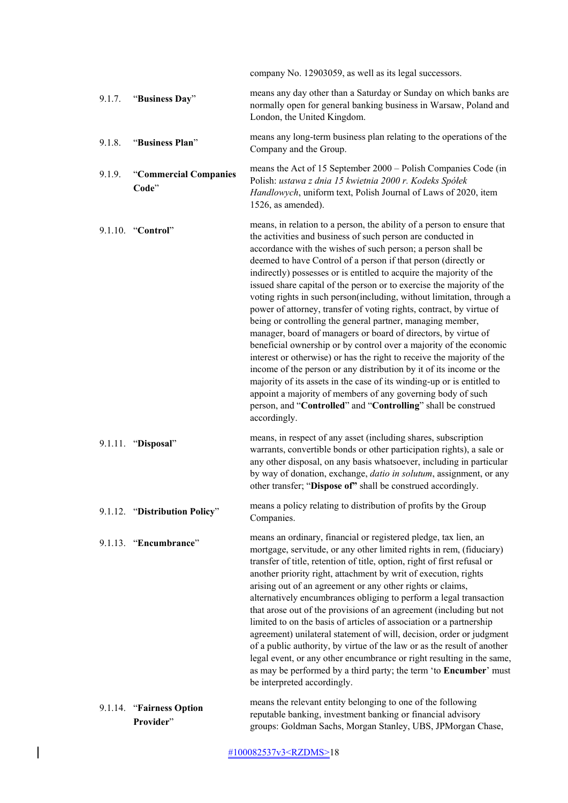|        |                                       | company No. 12903059, as well as its legal successors.                                                                                                                                                                                                                                                                                                                                                                                                                                                                                                                                                                                                                                                                                                                                                                                                                                                                                                                                                                                                                                                                                                    |
|--------|---------------------------------------|-----------------------------------------------------------------------------------------------------------------------------------------------------------------------------------------------------------------------------------------------------------------------------------------------------------------------------------------------------------------------------------------------------------------------------------------------------------------------------------------------------------------------------------------------------------------------------------------------------------------------------------------------------------------------------------------------------------------------------------------------------------------------------------------------------------------------------------------------------------------------------------------------------------------------------------------------------------------------------------------------------------------------------------------------------------------------------------------------------------------------------------------------------------|
| 9.1.7. | "Business Day"                        | means any day other than a Saturday or Sunday on which banks are<br>normally open for general banking business in Warsaw, Poland and<br>London, the United Kingdom.                                                                                                                                                                                                                                                                                                                                                                                                                                                                                                                                                                                                                                                                                                                                                                                                                                                                                                                                                                                       |
| 9.1.8. | "Business Plan"                       | means any long-term business plan relating to the operations of the<br>Company and the Group.                                                                                                                                                                                                                                                                                                                                                                                                                                                                                                                                                                                                                                                                                                                                                                                                                                                                                                                                                                                                                                                             |
| 9.1.9. | "Commercial Companies<br>Code"        | means the Act of 15 September 2000 – Polish Companies Code (in<br>Polish: ustawa z dnia 15 kwietnia 2000 r. Kodeks Spółek<br>Handlowych, uniform text, Polish Journal of Laws of 2020, item<br>1526, as amended).                                                                                                                                                                                                                                                                                                                                                                                                                                                                                                                                                                                                                                                                                                                                                                                                                                                                                                                                         |
|        | 9.1.10. "Control"                     | means, in relation to a person, the ability of a person to ensure that<br>the activities and business of such person are conducted in<br>accordance with the wishes of such person; a person shall be<br>deemed to have Control of a person if that person (directly or<br>indirectly) possesses or is entitled to acquire the majority of the<br>issued share capital of the person or to exercise the majority of the<br>voting rights in such person(including, without limitation, through a<br>power of attorney, transfer of voting rights, contract, by virtue of<br>being or controlling the general partner, managing member,<br>manager, board of managers or board of directors, by virtue of<br>beneficial ownership or by control over a majority of the economic<br>interest or otherwise) or has the right to receive the majority of the<br>income of the person or any distribution by it of its income or the<br>majority of its assets in the case of its winding-up or is entitled to<br>appoint a majority of members of any governing body of such<br>person, and "Controlled" and "Controlling" shall be construed<br>accordingly. |
|        | 9.1.11. "Disposal"                    | means, in respect of any asset (including shares, subscription<br>warrants, convertible bonds or other participation rights), a sale or<br>any other disposal, on any basis whatsoever, including in particular<br>by way of donation, exchange, datio in solutum, assignment, or any<br>other transfer; "Dispose of" shall be construed accordingly.                                                                                                                                                                                                                                                                                                                                                                                                                                                                                                                                                                                                                                                                                                                                                                                                     |
|        | 9.1.12. "Distribution Policy"         | means a policy relating to distribution of profits by the Group<br>Companies.                                                                                                                                                                                                                                                                                                                                                                                                                                                                                                                                                                                                                                                                                                                                                                                                                                                                                                                                                                                                                                                                             |
|        | 9.1.13. "Encumbrance"                 | means an ordinary, financial or registered pledge, tax lien, an<br>mortgage, servitude, or any other limited rights in rem, (fiduciary)<br>transfer of title, retention of title, option, right of first refusal or<br>another priority right, attachment by writ of execution, rights<br>arising out of an agreement or any other rights or claims,<br>alternatively encumbrances obliging to perform a legal transaction<br>that arose out of the provisions of an agreement (including but not<br>limited to on the basis of articles of association or a partnership<br>agreement) unilateral statement of will, decision, order or judgment<br>of a public authority, by virtue of the law or as the result of another<br>legal event, or any other encumbrance or right resulting in the same,<br>as may be performed by a third party; the term 'to Encumber' must<br>be interpreted accordingly.                                                                                                                                                                                                                                                  |
|        | 9.1.14. "Fairness Option<br>Provider" | means the relevant entity belonging to one of the following<br>reputable banking, investment banking or financial advisory<br>groups: Goldman Sachs, Morgan Stanley, UBS, JPMorgan Chase,                                                                                                                                                                                                                                                                                                                                                                                                                                                                                                                                                                                                                                                                                                                                                                                                                                                                                                                                                                 |

#100082537v3<RZDMS>18

 $\big|$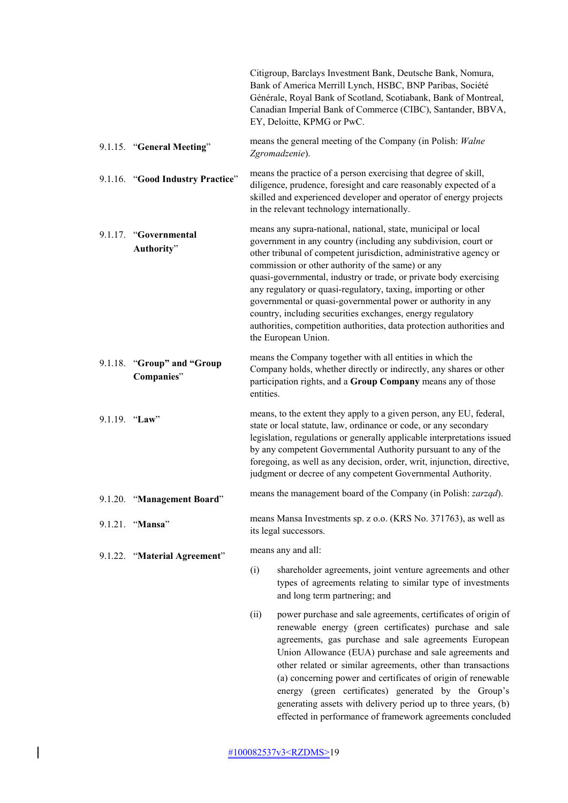|                                          | Citigroup, Barclays Investment Bank, Deutsche Bank, Nomura,<br>Bank of America Merrill Lynch, HSBC, BNP Paribas, Société<br>Générale, Royal Bank of Scotland, Scotiabank, Bank of Montreal,<br>Canadian Imperial Bank of Commerce (CIBC), Santander, BBVA,<br>EY, Deloitte, KPMG or PwC.                                                                                                                                                                                                                                                                                                                                        |  |
|------------------------------------------|---------------------------------------------------------------------------------------------------------------------------------------------------------------------------------------------------------------------------------------------------------------------------------------------------------------------------------------------------------------------------------------------------------------------------------------------------------------------------------------------------------------------------------------------------------------------------------------------------------------------------------|--|
| 9.1.15. "General Meeting"                | means the general meeting of the Company (in Polish: Walne<br>Zgromadzenie).                                                                                                                                                                                                                                                                                                                                                                                                                                                                                                                                                    |  |
| 9.1.16. "Good Industry Practice"         | means the practice of a person exercising that degree of skill,<br>diligence, prudence, foresight and care reasonably expected of a<br>skilled and experienced developer and operator of energy projects<br>in the relevant technology internationally.                                                                                                                                                                                                                                                                                                                                                                         |  |
| 9.1.17. "Governmental<br>Authority"      | means any supra-national, national, state, municipal or local<br>government in any country (including any subdivision, court or<br>other tribunal of competent jurisdiction, administrative agency or<br>commission or other authority of the same) or any<br>quasi-governmental, industry or trade, or private body exercising<br>any regulatory or quasi-regulatory, taxing, importing or other<br>governmental or quasi-governmental power or authority in any<br>country, including securities exchanges, energy regulatory<br>authorities, competition authorities, data protection authorities and<br>the European Union. |  |
| 9.1.18. "Group" and "Group<br>Companies" | means the Company together with all entities in which the<br>Company holds, whether directly or indirectly, any shares or other<br>participation rights, and a Group Company means any of those<br>entities.                                                                                                                                                                                                                                                                                                                                                                                                                    |  |
| 9.1.19. "Law"                            | means, to the extent they apply to a given person, any EU, federal,<br>state or local statute, law, ordinance or code, or any secondary<br>legislation, regulations or generally applicable interpretations issued<br>by any competent Governmental Authority pursuant to any of the<br>foregoing, as well as any decision, order, writ, injunction, directive,<br>judgment or decree of any competent Governmental Authority.                                                                                                                                                                                                  |  |
| 9.1.20. "Management Board"               | means the management board of the Company (in Polish: zarząd).                                                                                                                                                                                                                                                                                                                                                                                                                                                                                                                                                                  |  |
| 9.1.21. "Mansa"                          | means Mansa Investments sp. z o.o. (KRS No. 371763), as well as<br>its legal successors.                                                                                                                                                                                                                                                                                                                                                                                                                                                                                                                                        |  |
| 9.1.22. "Material Agreement"             | means any and all:                                                                                                                                                                                                                                                                                                                                                                                                                                                                                                                                                                                                              |  |
|                                          | shareholder agreements, joint venture agreements and other<br>(i)<br>types of agreements relating to similar type of investments<br>and long term partnering; and                                                                                                                                                                                                                                                                                                                                                                                                                                                               |  |
|                                          | power purchase and sale agreements, certificates of origin of<br>(ii)<br>renewable energy (green certificates) purchase and sale<br>agreements, gas purchase and sale agreements European<br>Union Allowance (EUA) purchase and sale agreements and<br>other related or similar agreements, other than transactions<br>(a) concerning power and certificates of origin of renewable<br>energy (green certificates) generated by the Group's<br>generating assets with delivery period up to three years, (b)<br>effected in performance of framework agreements concluded                                                       |  |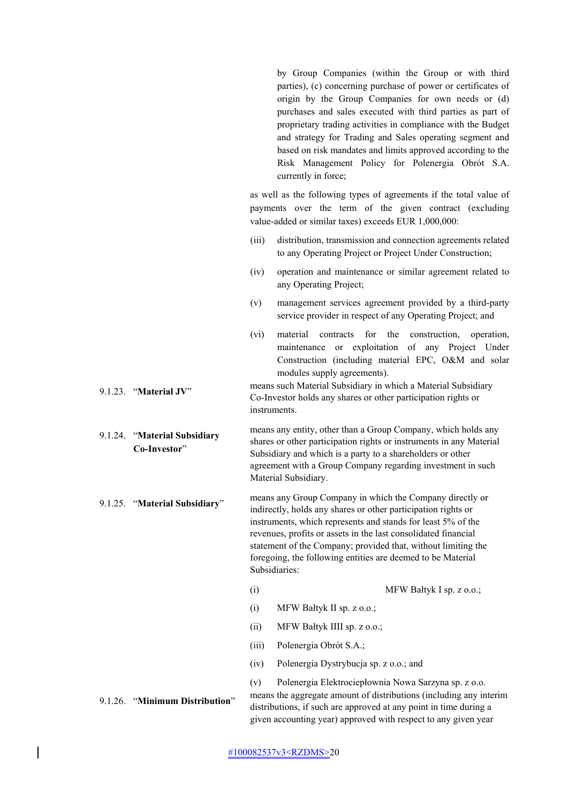by Group Companies (within the Group or with third parties), (c) concerning purchase of power or certificates of origin by the Group Companies for own needs or (d) purchases and sales executed with third parties as part of proprietary trading activities in compliance with the Budget and strategy for Trading and Sales operating segment and based on risk mandates and limits approved according to the Risk Management Policy for Polenergia Obrót S.A. currently in force;

as well as the following types of agreements if the total value of payments over the term of the given contract (excluding value-added or similar taxes) exceeds EUR 1,000,000:

- (iii) distribution, transmission and connection agreements related to any Operating Project or Project Under Construction;
- (iv) operation and maintenance or similar agreement related to any Operating Project;
- (v) management services agreement provided by a third-party service provider in respect of any Operating Project; and
- (vi) material contracts for the construction, operation, maintenance or exploitation of any Project Under Construction (including material EPC, O&M and solar modules supply agreements).

9.1.23. "**Material JV**" means such Material Subsidiary in which a Material Subsidiary Co-Investor holds any shares or other participation rights or instruments.

9.1.24. "**Material Subsidiary Co-Investor**" means any entity, other than a Group Company, which holds any shares or other participation rights or instruments in any Material Subsidiary and which is a party to a shareholders or other agreement with a Group Company regarding investment in such Material Subsidiary.

- 9.1.25. "**Material Subsidiary**" means any Group Company in which the Company directly or indirectly, holds any shares or other participation rights or instruments, which represents and stands for least 5% of the revenues, profits or assets in the last consolidated financial statement of the Company; provided that, without limiting the foregoing, the following entities are deemed to be Material Subsidiaries:
	- (i) MFW Bałtyk I sp. z o.o.;
	- (i) MFW Bałtyk II sp. z o.o.;
	- (ii) MFW Bałtyk IIII sp. z o.o.;
	- (iii) Polenergia Obrót S.A.;
	- (iv) Polenergia Dystrybucja sp. z o.o.; and

(v) Polenergia Elektrociepłownia Nowa Sarzyna sp. z o.o. 9.1.26. "**Minimum Distribution**" means the aggregate amount of distributions (including any interim distributions, if such are approved at any point in time during a given accounting year) approved with respect to any given year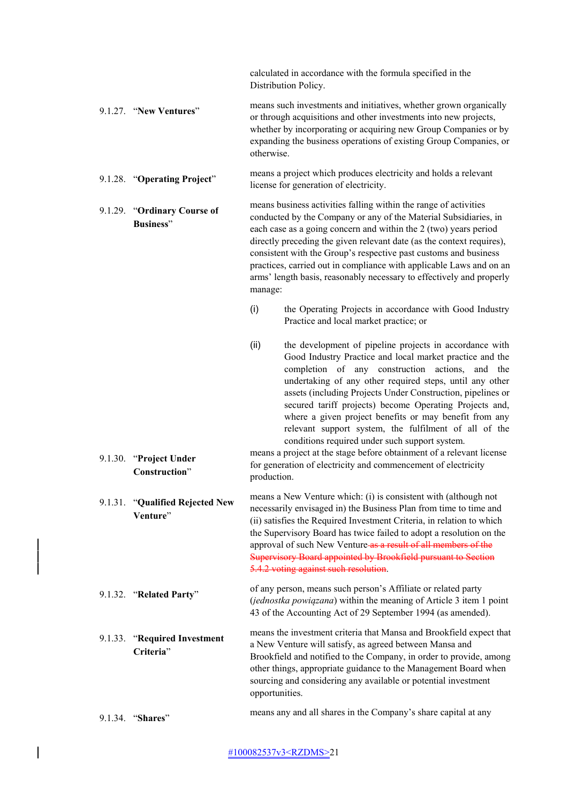calculated in accordance with the formula specified in the Distribution Policy.

9.1.27. "**New Ventures**" means such investments and initiatives, whether grown organically or through acquisitions and other investments into new projects, whether by incorporating or acquiring new Group Companies or by expanding the business operations of existing Group Companies, or otherwise.

9.1.28. "**Operating Project**" means a project which produces electricity and holds a relevant license for generation of electricity.

9.1.29. "**Ordinary Course of Business**" means business activities falling within the range of activities conducted by the Company or any of the Material Subsidiaries, in each case as a going concern and within the 2 (two) years period directly preceding the given relevant date (as the context requires), consistent with the Group's respective past customs and business practices, carried out in compliance with applicable Laws and on an arms' length basis, reasonably necessary to effectively and properly manage:

- (i) the Operating Projects in accordance with Good Industry Practice and local market practice; or
- (ii) the development of pipeline projects in accordance with Good Industry Practice and local market practice and the completion of any construction actions, and the undertaking of any other required steps, until any other assets (including Projects Under Construction, pipelines or secured tariff projects) become Operating Projects and, where a given project benefits or may benefit from any relevant support system, the fulfilment of all of the conditions required under such support system.

9.1.30. "**Project Under Construction**" means a project at the stage before obtainment of a relevant license for generation of electricity and commencement of electricity production.

9.1.31. "**Qualified Rejected New Venture**" means a New Venture which: (i) is consistent with (although not necessarily envisaged in) the Business Plan from time to time and (ii) satisfies the Required Investment Criteria, in relation to which the Supervisory Board has twice failed to adopt a resolution on the approval of such New Venture as a result of all members of the Supervisory Board appointed by Brookfield pursuant to Section 5.4.2 voting against such resolution.

9.1.32. "**Related Party**" of any person, means such person's Affiliate or related party (*jednostka powiązana*) within the meaning of Article 3 item 1 point 43 of the Accounting Act of 29 September 1994 (as amended).

9.1.33. "**Required Investment Criteria**" means the investment criteria that Mansa and Brookfield expect that a New Venture will satisfy, as agreed between Mansa and Brookfield and notified to the Company, in order to provide, among other things, appropriate guidance to the Management Board when sourcing and considering any available or potential investment opportunities.

9.1.34. "**Shares**" means any and all shares in the Company's share capital at any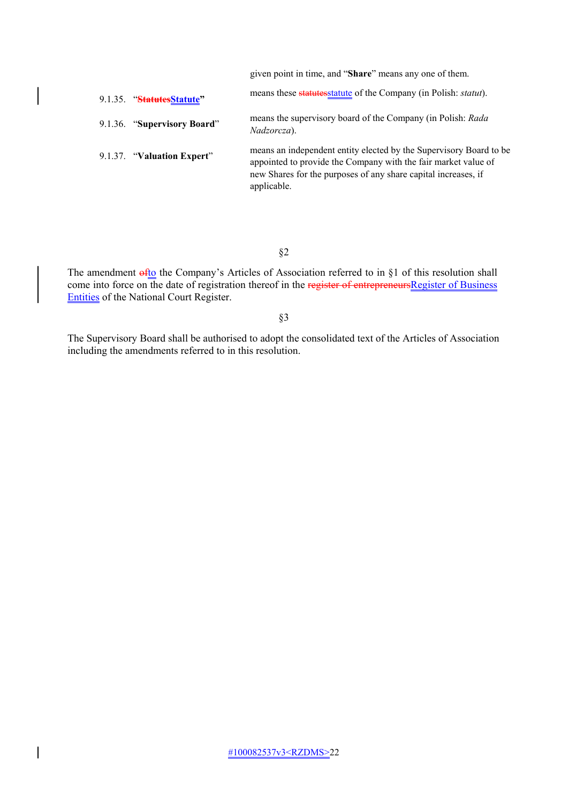given point in time, and "**Share**" means any one of them.

| 9.1.35. "StatutesStatute"   | means these statutes statute of the Company (in Polish: statut).                                                                                                                                       |
|-----------------------------|--------------------------------------------------------------------------------------------------------------------------------------------------------------------------------------------------------|
| 9.1.36. "Supervisory Board" | means the supervisory board of the Company (in Polish: Rada<br>Nadzorcza).                                                                                                                             |
| 9.1.37. "Valuation Expert"  | means an independent entity elected by the Supervisory Board to be<br>appointed to provide the Company with the fair market value of<br>new Shares for the purposes of any share capital increases, if |
|                             | applicable.                                                                                                                                                                                            |

§2

The amendment  $\frac{af_0}{f_0}$  the Company's Articles of Association referred to in §1 of this resolution shall come into force on the date of registration thereof in the register of entrepreneursRegister of Business Entities of the National Court Register.

§3

The Supervisory Board shall be authorised to adopt the consolidated text of the Articles of Association including the amendments referred to in this resolution.

 $\overline{\phantom{a}}$